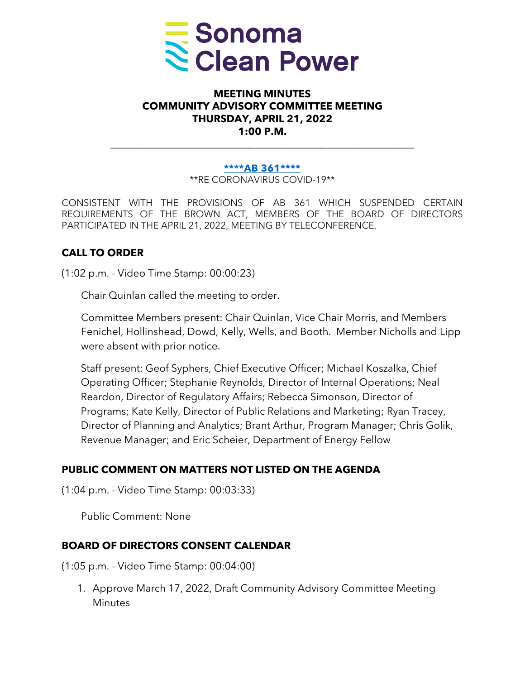

### **MEETING MINUTES COMMUNITY ADVISORY COMMITTEE MEETING THURSDAY, APRIL 21, 2022 1:00 P.M.**

#### **[\\*\\*\\*\\*AB 361\\*\\*\\*\\*](https://leginfo.legislature.ca.gov/faces/billTextClient.xhtml?bill_id=202120220AB361)**

\_\_\_\_\_\_\_\_\_\_\_\_\_\_\_\_\_\_\_\_\_\_\_\_\_\_\_\_\_\_\_\_\_\_\_\_\_\_\_\_\_\_\_\_\_\_\_\_\_\_\_\_\_\_\_\_\_\_\_

\*\*RE CORONAVIRUS COVID-19\*\*

CONSISTENT WITH THE PROVISIONS OF AB 361 WHICH SUSPENDED CERTAIN REQUIREMENTS OF THE BROWN ACT, MEMBERS OF THE BOARD OF DIRECTORS PARTICIPATED IN THE APRIL 21, 2022, MEETING BY TELECONFERENCE.

### **CALL TO ORDER**

(1:02 p.m. - Video Time Stamp: 00:00:23)

Chair Quinlan called the meeting to order.

Committee Members present: Chair Quinlan, Vice Chair Morris, and Members Fenichel, Hollinshead, Dowd, Kelly, Wells, and Booth. Member Nicholls and Lipp were absent with prior notice.

Staff present: Geof Syphers, Chief Executive Officer; Michael Koszalka, Chief Operating Officer; Stephanie Reynolds, Director of Internal Operations; Neal Reardon, Director of Regulatory Affairs; Rebecca Simonson, Director of Programs; Kate Kelly, Director of Public Relations and Marketing; Ryan Tracey, Director of Planning and Analytics; Brant Arthur, Program Manager; Chris Golik, Revenue Manager; and Eric Scheier, Department of Energy Fellow

#### **PUBLIC COMMENT ON MATTERS NOT LISTED ON THE AGENDA**

(1:04 p.m. - Video Time Stamp: 00:03:33)

Public Comment: None

#### **BOARD OF DIRECTORS CONSENT CALENDAR**

(1:05 p.m. - Video Time Stamp: 00:04:00)

1. Approve March 17, 2022, Draft Community Advisory Committee Meeting **Minutes**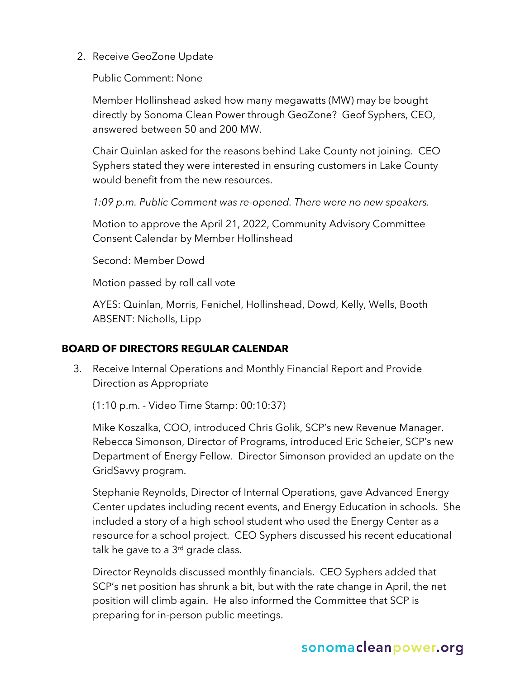2. Receive GeoZone Update

Public Comment: None

Member Hollinshead asked how many megawatts (MW) may be bought directly by Sonoma Clean Power through GeoZone? Geof Syphers, CEO, answered between 50 and 200 MW.

Chair Quinlan asked for the reasons behind Lake County not joining. CEO Syphers stated they were interested in ensuring customers in Lake County would benefit from the new resources.

*1:09 p.m. Public Comment was re-opened. There were no new speakers.*

Motion to approve the April 21, 2022, Community Advisory Committee Consent Calendar by Member Hollinshead

Second: Member Dowd

Motion passed by roll call vote

AYES: Quinlan, Morris, Fenichel, Hollinshead, Dowd, Kelly, Wells, Booth ABSENT: Nicholls, Lipp

### **BOARD OF DIRECTORS REGULAR CALENDAR**

3. Receive Internal Operations and Monthly Financial Report and Provide Direction as Appropriate

(1:10 p.m. - Video Time Stamp: 00:10:37)

Mike Koszalka, COO, introduced Chris Golik, SCP's new Revenue Manager. Rebecca Simonson, Director of Programs, introduced Eric Scheier, SCP's new Department of Energy Fellow. Director Simonson provided an update on the GridSavvy program.

Stephanie Reynolds, Director of Internal Operations, gave Advanced Energy Center updates including recent events, and Energy Education in schools. She included a story of a high school student who used the Energy Center as a resource for a school project. CEO Syphers discussed his recent educational talk he gave to a  $3<sup>rd</sup>$  grade class.

Director Reynolds discussed monthly financials. CEO Syphers added that SCP's net position has shrunk a bit, but with the rate change in April, the net position will climb again. He also informed the Committee that SCP is preparing for in-person public meetings.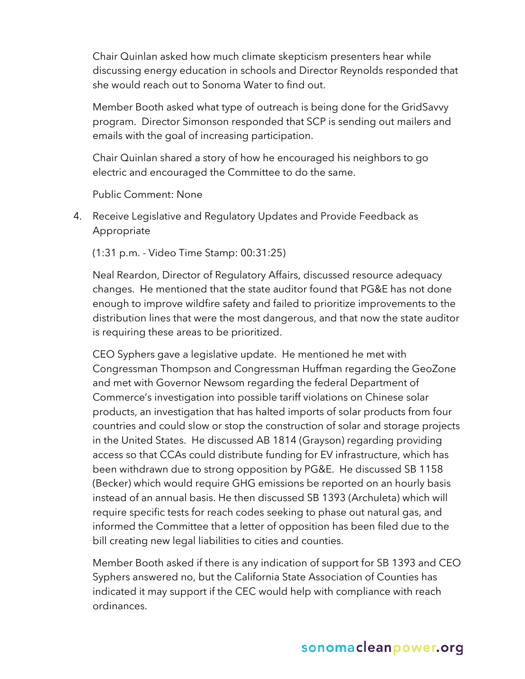Chair Quinlan asked how much climate skepticism presenters hear while discussing energy education in schools and Director Reynolds responded that she would reach out to Sonoma Water to find out.

Member Booth asked what type of outreach is being done for the GridSavvy program. Director Simonson responded that SCP is sending out mailers and emails with the goal of increasing participation.

Chair Quinlan shared a story of how he encouraged his neighbors to go electric and encouraged the Committee to do the same.

Public Comment: None

4. Receive Legislative and Regulatory Updates and Provide Feedback as Appropriate

(1:31 p.m. - Video Time Stamp: 00:31:25)

Neal Reardon, Director of Regulatory Affairs, discussed resource adequacy changes. He mentioned that the state auditor found that PG&E has not done enough to improve wildfire safety and failed to prioritize improvements to the distribution lines that were the most dangerous, and that now the state auditor is requiring these areas to be prioritized.

CEO Syphers gave a legislative update. He mentioned he met with Congressman Thompson and Congressman Huffman regarding the GeoZone and met with Governor Newsom regarding the federal Department of Commerce's investigation into possible tariff violations on Chinese solar products, an investigation that has halted imports of solar products from four countries and could slow or stop the construction of solar and storage projects in the United States. He discussed AB 1814 (Grayson) regarding providing access so that CCAs could distribute funding for EV infrastructure, which has been withdrawn due to strong opposition by PG&E. He discussed SB 1158 (Becker) which would require GHG emissions be reported on an hourly basis instead of an annual basis. He then discussed SB 1393 (Archuleta) which will require specific tests for reach codes seeking to phase out natural gas, and informed the Committee that a letter of opposition has been filed due to the bill creating new legal liabilities to cities and counties.

Member Booth asked if there is any indication of support for SB 1393 and CEO Syphers answered no, but the California State Association of Counties has indicated it may support if the CEC would help with compliance with reach ordinances.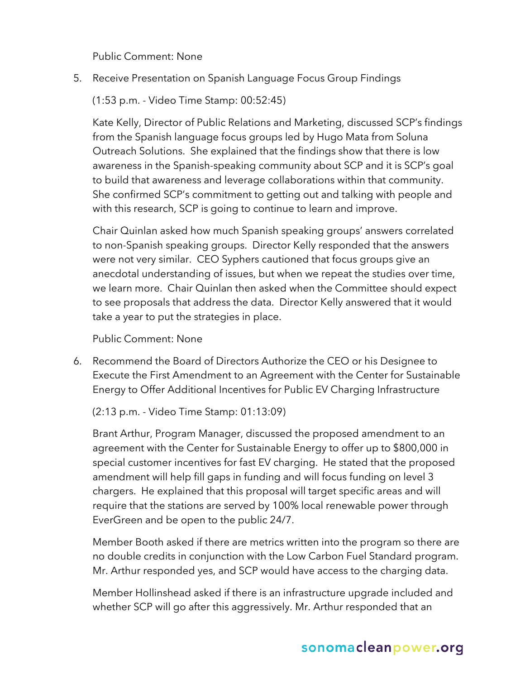Public Comment: None

5. Receive Presentation on Spanish Language Focus Group Findings

(1:53 p.m. - Video Time Stamp: 00:52:45)

Kate Kelly, Director of Public Relations and Marketing, discussed SCP's findings from the Spanish language focus groups led by Hugo Mata from Soluna Outreach Solutions. She explained that the findings show that there is low awareness in the Spanish-speaking community about SCP and it is SCP's goal to build that awareness and leverage collaborations within that community. She confirmed SCP's commitment to getting out and talking with people and with this research, SCP is going to continue to learn and improve.

Chair Quinlan asked how much Spanish speaking groups' answers correlated to non-Spanish speaking groups. Director Kelly responded that the answers were not very similar. CEO Syphers cautioned that focus groups give an anecdotal understanding of issues, but when we repeat the studies over time, we learn more. Chair Quinlan then asked when the Committee should expect to see proposals that address the data. Director Kelly answered that it would take a year to put the strategies in place.

Public Comment: None

6. Recommend the Board of Directors Authorize the CEO or his Designee to Execute the First Amendment to an Agreement with the Center for Sustainable Energy to Offer Additional Incentives for Public EV Charging Infrastructure

(2:13 p.m. - Video Time Stamp: 01:13:09)

Brant Arthur, Program Manager, discussed the proposed amendment to an agreement with the Center for Sustainable Energy to offer up to \$800,000 in special customer incentives for fast EV charging. He stated that the proposed amendment will help fill gaps in funding and will focus funding on level 3 chargers. He explained that this proposal will target specific areas and will require that the stations are served by 100% local renewable power through EverGreen and be open to the public 24/7.

Member Booth asked if there are metrics written into the program so there are no double credits in conjunction with the Low Carbon Fuel Standard program. Mr. Arthur responded yes, and SCP would have access to the charging data.

Member Hollinshead asked if there is an infrastructure upgrade included and whether SCP will go after this aggressively. Mr. Arthur responded that an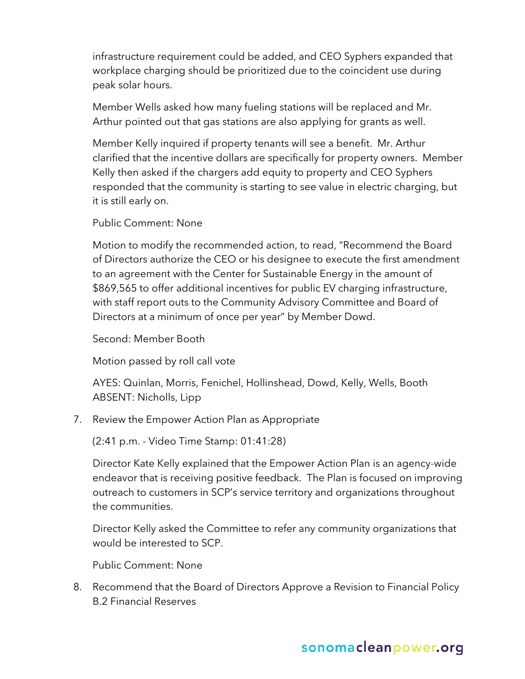infrastructure requirement could be added, and CEO Syphers expanded that workplace charging should be prioritized due to the coincident use during peak solar hours.

Member Wells asked how many fueling stations will be replaced and Mr. Arthur pointed out that gas stations are also applying for grants as well.

Member Kelly inquired if property tenants will see a benefit. Mr. Arthur clarified that the incentive dollars are specifically for property owners. Member Kelly then asked if the chargers add equity to property and CEO Syphers responded that the community is starting to see value in electric charging, but it is still early on.

Public Comment: None

Motion to modify the recommended action, to read, "Recommend the Board of Directors authorize the CEO or his designee to execute the first amendment to an agreement with the Center for Sustainable Energy in the amount of \$869,565 to offer additional incentives for public EV charging infrastructure, with staff report outs to the Community Advisory Committee and Board of Directors at a minimum of once per year" by Member Dowd.

Second: Member Booth

Motion passed by roll call vote

AYES: Quinlan, Morris, Fenichel, Hollinshead, Dowd, Kelly, Wells, Booth ABSENT: Nicholls, Lipp

7. Review the Empower Action Plan as Appropriate

(2:41 p.m. - Video Time Stamp: 01:41:28)

Director Kate Kelly explained that the Empower Action Plan is an agency-wide endeavor that is receiving positive feedback. The Plan is focused on improving outreach to customers in SCP's service territory and organizations throughout the communities.

Director Kelly asked the Committee to refer any community organizations that would be interested to SCP.

Public Comment: None

8. Recommend that the Board of Directors Approve a Revision to Financial Policy B.2 Financial Reserves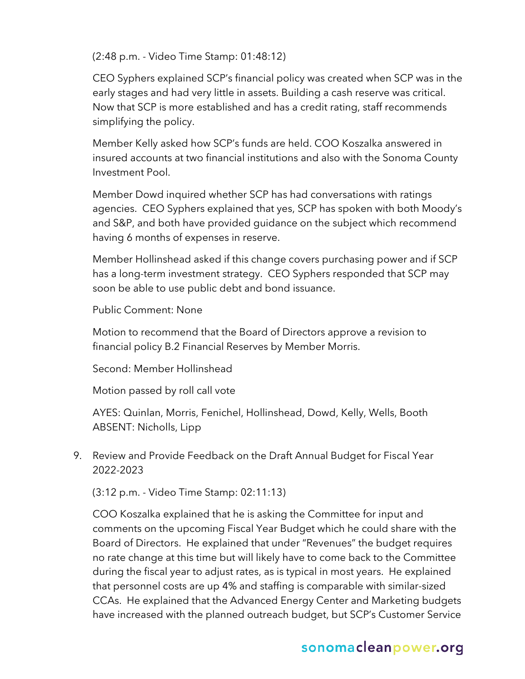(2:48 p.m. - Video Time Stamp: 01:48:12)

CEO Syphers explained SCP's financial policy was created when SCP was in the early stages and had very little in assets. Building a cash reserve was critical. Now that SCP is more established and has a credit rating, staff recommends simplifying the policy.

Member Kelly asked how SCP's funds are held. COO Koszalka answered in insured accounts at two financial institutions and also with the Sonoma County Investment Pool.

Member Dowd inquired whether SCP has had conversations with ratings agencies. CEO Syphers explained that yes, SCP has spoken with both Moody's and S&P, and both have provided guidance on the subject which recommend having 6 months of expenses in reserve.

Member Hollinshead asked if this change covers purchasing power and if SCP has a long-term investment strategy. CEO Syphers responded that SCP may soon be able to use public debt and bond issuance.

Public Comment: None

Motion to recommend that the Board of Directors approve a revision to financial policy B.2 Financial Reserves by Member Morris.

Second: Member Hollinshead

Motion passed by roll call vote

AYES: Quinlan, Morris, Fenichel, Hollinshead, Dowd, Kelly, Wells, Booth ABSENT: Nicholls, Lipp

9. Review and Provide Feedback on the Draft Annual Budget for Fiscal Year 2022-2023

(3:12 p.m. - Video Time Stamp: 02:11:13)

COO Koszalka explained that he is asking the Committee for input and comments on the upcoming Fiscal Year Budget which he could share with the Board of Directors. He explained that under "Revenues" the budget requires no rate change at this time but will likely have to come back to the Committee during the fiscal year to adjust rates, as is typical in most years. He explained that personnel costs are up 4% and staffing is comparable with similar-sized CCAs. He explained that the Advanced Energy Center and Marketing budgets have increased with the planned outreach budget, but SCP's Customer Service